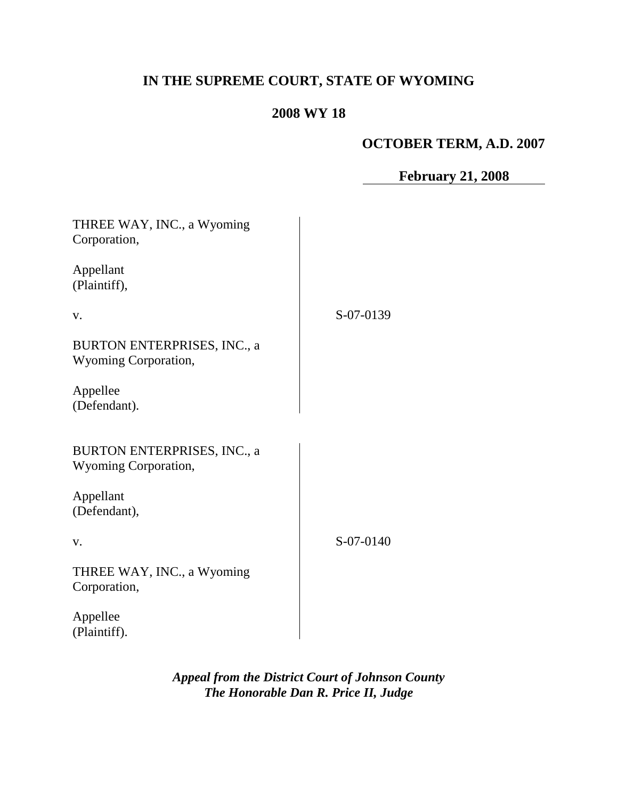# **IN THE SUPREME COURT, STATE OF WYOMING**

# **2008 WY 18**

# **OCTOBER TERM, A.D. 2007**

**February 21, 2008**

| THREE WAY, INC., a Wyoming<br>Corporation,                 |           |
|------------------------------------------------------------|-----------|
| Appellant<br>(Plaintiff),                                  |           |
| V.                                                         | S-07-0139 |
| <b>BURTON ENTERPRISES, INC., a</b><br>Wyoming Corporation, |           |
| Appellee<br>(Defendant).                                   |           |
| <b>BURTON ENTERPRISES, INC., a</b><br>Wyoming Corporation, |           |
| Appellant<br>(Defendant),                                  |           |
| V.                                                         | S-07-0140 |
| THREE WAY, INC., a Wyoming<br>Corporation,                 |           |
| Appellee<br>(Plaintiff).                                   |           |

*Appeal from the District Court of Johnson County The Honorable Dan R. Price II, Judge*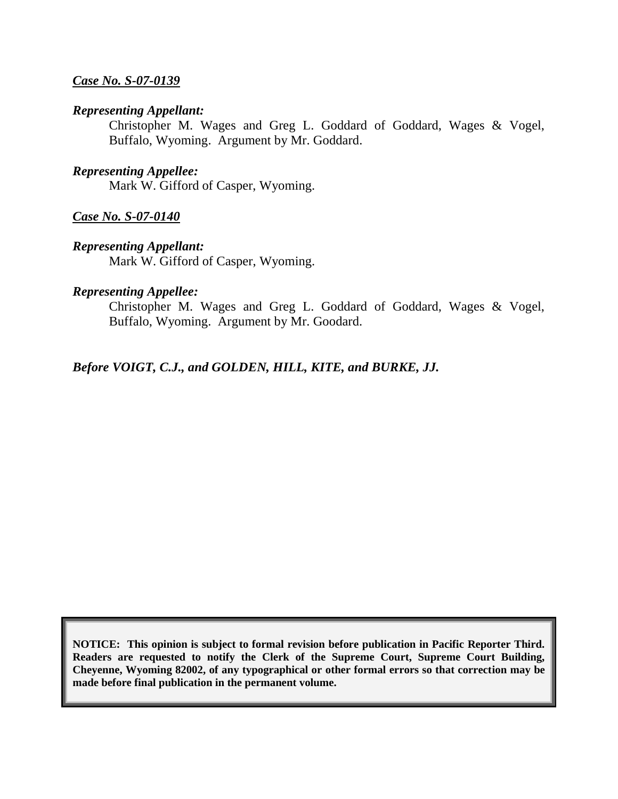#### *Case No. S-07-0139*

#### *Representing Appellant:*

Christopher M. Wages and Greg L. Goddard of Goddard, Wages & Vogel, Buffalo, Wyoming. Argument by Mr. Goddard.

#### *Representing Appellee:*

Mark W. Gifford of Casper, Wyoming.

#### *Case No. S-07-0140*

#### *Representing Appellant:*

Mark W. Gifford of Casper, Wyoming.

#### *Representing Appellee:*

Christopher M. Wages and Greg L. Goddard of Goddard, Wages & Vogel, Buffalo, Wyoming. Argument by Mr. Goodard.

#### *Before VOIGT, C.J., and GOLDEN, HILL, KITE, and BURKE, JJ.*

**NOTICE: This opinion is subject to formal revision before publication in Pacific Reporter Third. Readers are requested to notify the Clerk of the Supreme Court, Supreme Court Building, Cheyenne, Wyoming 82002, of any typographical or other formal errors so that correction may be made before final publication in the permanent volume.**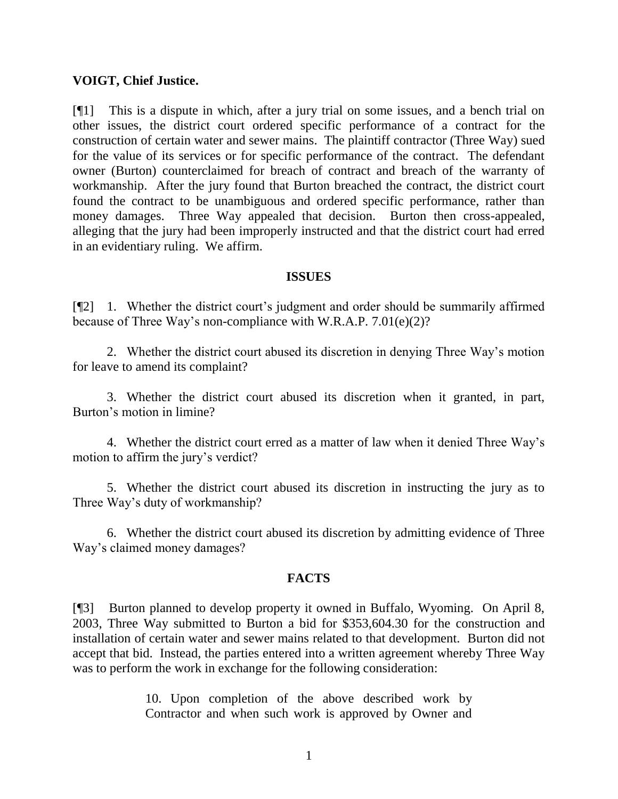#### **VOIGT, Chief Justice.**

[¶1] This is a dispute in which, after a jury trial on some issues, and a bench trial on other issues, the district court ordered specific performance of a contract for the construction of certain water and sewer mains. The plaintiff contractor (Three Way) sued for the value of its services or for specific performance of the contract. The defendant owner (Burton) counterclaimed for breach of contract and breach of the warranty of workmanship. After the jury found that Burton breached the contract, the district court found the contract to be unambiguous and ordered specific performance, rather than money damages. Three Way appealed that decision. Burton then cross-appealed, alleging that the jury had been improperly instructed and that the district court had erred in an evidentiary ruling. We affirm.

#### **ISSUES**

[¶2] 1. Whether the district court"s judgment and order should be summarily affirmed because of Three Way"s non-compliance with W.R.A.P. 7.01(e)(2)?

2. Whether the district court abused its discretion in denying Three Way"s motion for leave to amend its complaint?

3. Whether the district court abused its discretion when it granted, in part, Burton"s motion in limine?

4. Whether the district court erred as a matter of law when it denied Three Way"s motion to affirm the jury's verdict?

5. Whether the district court abused its discretion in instructing the jury as to Three Way"s duty of workmanship?

6. Whether the district court abused its discretion by admitting evidence of Three Way"s claimed money damages?

#### **FACTS**

[¶3] Burton planned to develop property it owned in Buffalo, Wyoming. On April 8, 2003, Three Way submitted to Burton a bid for \$353,604.30 for the construction and installation of certain water and sewer mains related to that development. Burton did not accept that bid. Instead, the parties entered into a written agreement whereby Three Way was to perform the work in exchange for the following consideration:

> 10. Upon completion of the above described work by Contractor and when such work is approved by Owner and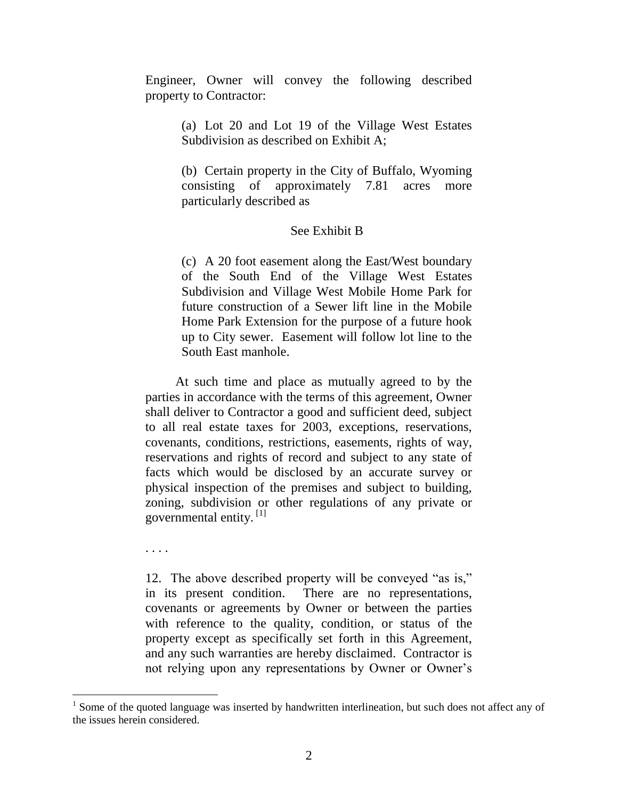Engineer, Owner will convey the following described property to Contractor:

> (a) Lot 20 and Lot 19 of the Village West Estates Subdivision as described on Exhibit A;

> (b) Certain property in the City of Buffalo, Wyoming consisting of approximately 7.81 acres more particularly described as

#### See Exhibit B

(c) A 20 foot easement along the East/West boundary of the South End of the Village West Estates Subdivision and Village West Mobile Home Park for future construction of a Sewer lift line in the Mobile Home Park Extension for the purpose of a future hook up to City sewer. Easement will follow lot line to the South East manhole.

At such time and place as mutually agreed to by the parties in accordance with the terms of this agreement, Owner shall deliver to Contractor a good and sufficient deed, subject to all real estate taxes for 2003, exceptions, reservations, covenants, conditions, restrictions, easements, rights of way, reservations and rights of record and subject to any state of facts which would be disclosed by an accurate survey or physical inspection of the premises and subject to building, zoning, subdivision or other regulations of any private or governmental entity. [1]

. . . .

12. The above described property will be conveyed "as is," in its present condition. There are no representations, covenants or agreements by Owner or between the parties with reference to the quality, condition, or status of the property except as specifically set forth in this Agreement, and any such warranties are hereby disclaimed. Contractor is not relying upon any representations by Owner or Owner"s

<sup>&</sup>lt;sup>1</sup> Some of the quoted language was inserted by handwritten interlineation, but such does not affect any of the issues herein considered.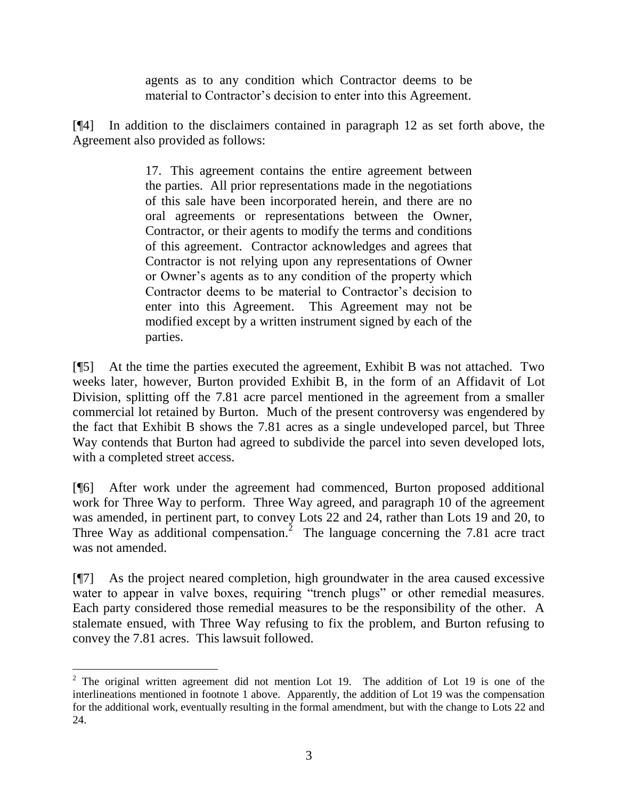agents as to any condition which Contractor deems to be material to Contractor's decision to enter into this Agreement.

[¶4] In addition to the disclaimers contained in paragraph 12 as set forth above, the Agreement also provided as follows:

> 17. This agreement contains the entire agreement between the parties. All prior representations made in the negotiations of this sale have been incorporated herein, and there are no oral agreements or representations between the Owner, Contractor, or their agents to modify the terms and conditions of this agreement. Contractor acknowledges and agrees that Contractor is not relying upon any representations of Owner or Owner"s agents as to any condition of the property which Contractor deems to be material to Contractor"s decision to enter into this Agreement. This Agreement may not be modified except by a written instrument signed by each of the parties.

[¶5] At the time the parties executed the agreement, Exhibit B was not attached. Two weeks later, however, Burton provided Exhibit B, in the form of an Affidavit of Lot Division, splitting off the 7.81 acre parcel mentioned in the agreement from a smaller commercial lot retained by Burton. Much of the present controversy was engendered by the fact that Exhibit B shows the 7.81 acres as a single undeveloped parcel, but Three Way contends that Burton had agreed to subdivide the parcel into seven developed lots, with a completed street access.

[¶6] After work under the agreement had commenced, Burton proposed additional work for Three Way to perform. Three Way agreed, and paragraph 10 of the agreement was amended, in pertinent part, to convey Lots 22 and 24, rather than Lots 19 and 20, to Three Way as additional compensation.<sup>2</sup> The language concerning the 7.81 acre tract was not amended.

[¶7] As the project neared completion, high groundwater in the area caused excessive water to appear in valve boxes, requiring "trench plugs" or other remedial measures. Each party considered those remedial measures to be the responsibility of the other. A stalemate ensued, with Three Way refusing to fix the problem, and Burton refusing to convey the 7.81 acres. This lawsuit followed.

 $\overline{a}$ 

 $2$  The original written agreement did not mention Lot 19. The addition of Lot 19 is one of the interlineations mentioned in footnote 1 above. Apparently, the addition of Lot 19 was the compensation for the additional work, eventually resulting in the formal amendment, but with the change to Lots 22 and 24.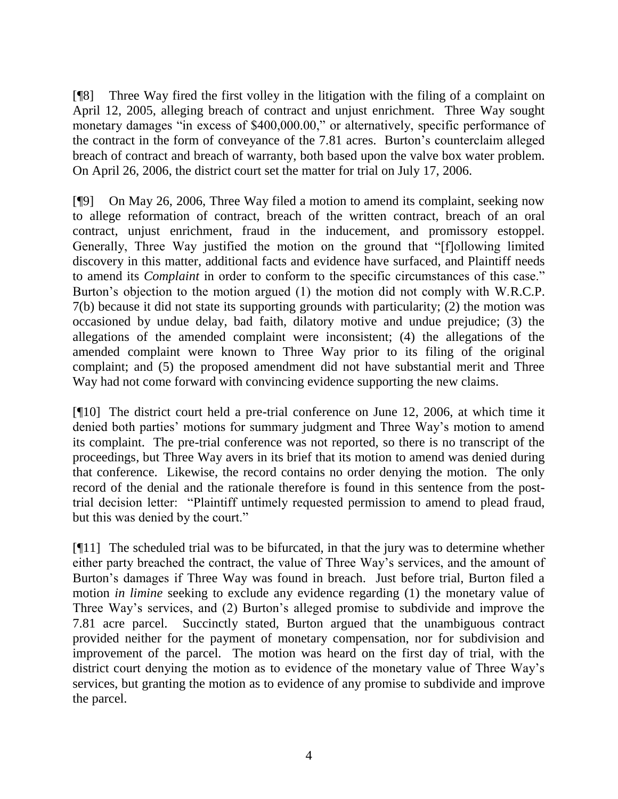[¶8] Three Way fired the first volley in the litigation with the filing of a complaint on April 12, 2005, alleging breach of contract and unjust enrichment. Three Way sought monetary damages "in excess of \$400,000.00," or alternatively, specific performance of the contract in the form of conveyance of the 7.81 acres. Burton"s counterclaim alleged breach of contract and breach of warranty, both based upon the valve box water problem. On April 26, 2006, the district court set the matter for trial on July 17, 2006.

[¶9] On May 26, 2006, Three Way filed a motion to amend its complaint, seeking now to allege reformation of contract, breach of the written contract, breach of an oral contract, unjust enrichment, fraud in the inducement, and promissory estoppel. Generally, Three Way justified the motion on the ground that "[f]ollowing limited discovery in this matter, additional facts and evidence have surfaced, and Plaintiff needs to amend its *Complaint* in order to conform to the specific circumstances of this case." Burton"s objection to the motion argued (1) the motion did not comply with W.R.C.P. 7(b) because it did not state its supporting grounds with particularity; (2) the motion was occasioned by undue delay, bad faith, dilatory motive and undue prejudice; (3) the allegations of the amended complaint were inconsistent; (4) the allegations of the amended complaint were known to Three Way prior to its filing of the original complaint; and (5) the proposed amendment did not have substantial merit and Three Way had not come forward with convincing evidence supporting the new claims.

[¶10] The district court held a pre-trial conference on June 12, 2006, at which time it denied both parties' motions for summary judgment and Three Way's motion to amend its complaint. The pre-trial conference was not reported, so there is no transcript of the proceedings, but Three Way avers in its brief that its motion to amend was denied during that conference. Likewise, the record contains no order denying the motion. The only record of the denial and the rationale therefore is found in this sentence from the posttrial decision letter: "Plaintiff untimely requested permission to amend to plead fraud, but this was denied by the court."

[¶11] The scheduled trial was to be bifurcated, in that the jury was to determine whether either party breached the contract, the value of Three Way"s services, and the amount of Burton"s damages if Three Way was found in breach. Just before trial, Burton filed a motion *in limine* seeking to exclude any evidence regarding (1) the monetary value of Three Way"s services, and (2) Burton"s alleged promise to subdivide and improve the 7.81 acre parcel. Succinctly stated, Burton argued that the unambiguous contract provided neither for the payment of monetary compensation, nor for subdivision and improvement of the parcel. The motion was heard on the first day of trial, with the district court denying the motion as to evidence of the monetary value of Three Way"s services, but granting the motion as to evidence of any promise to subdivide and improve the parcel.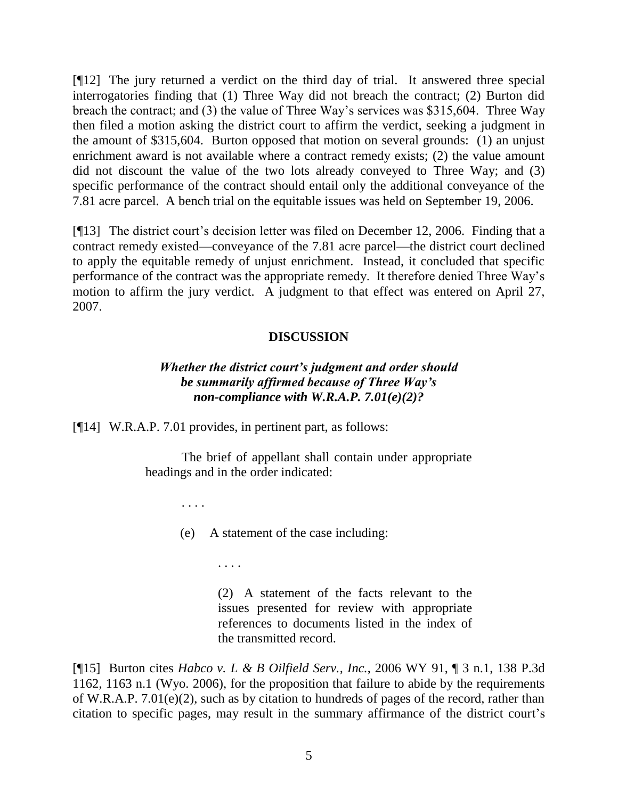[¶12] The jury returned a verdict on the third day of trial. It answered three special interrogatories finding that (1) Three Way did not breach the contract; (2) Burton did breach the contract; and (3) the value of Three Way"s services was \$315,604. Three Way then filed a motion asking the district court to affirm the verdict, seeking a judgment in the amount of \$315,604. Burton opposed that motion on several grounds: (1) an unjust enrichment award is not available where a contract remedy exists; (2) the value amount did not discount the value of the two lots already conveyed to Three Way; and (3) specific performance of the contract should entail only the additional conveyance of the 7.81 acre parcel. A bench trial on the equitable issues was held on September 19, 2006.

[¶13] The district court's decision letter was filed on December 12, 2006. Finding that a contract remedy existed—conveyance of the 7.81 acre parcel—the district court declined to apply the equitable remedy of unjust enrichment. Instead, it concluded that specific performance of the contract was the appropriate remedy. It therefore denied Three Way"s motion to affirm the jury verdict. A judgment to that effect was entered on April 27, 2007.

# **DISCUSSION**

# *Whether the district court's judgment and order should be summarily affirmed because of Three Way's non-compliance with W.R.A.P. 7.01(e)(2)?*

[¶14] W.R.A.P. 7.01 provides, in pertinent part, as follows:

The brief of appellant shall contain under appropriate headings and in the order indicated:

. . . .

(e) A statement of the case including:

. . . .

(2) A statement of the facts relevant to the issues presented for review with appropriate references to documents listed in the index of the transmitted record.

[¶15] Burton cites *Habco v. L & B Oilfield Serv., Inc.*, 2006 WY 91, ¶ 3 n.1, 138 P.3d 1162, 1163 n.1 (Wyo. 2006), for the proposition that failure to abide by the requirements of W.R.A.P. 7.01(e)(2), such as by citation to hundreds of pages of the record, rather than citation to specific pages, may result in the summary affirmance of the district court"s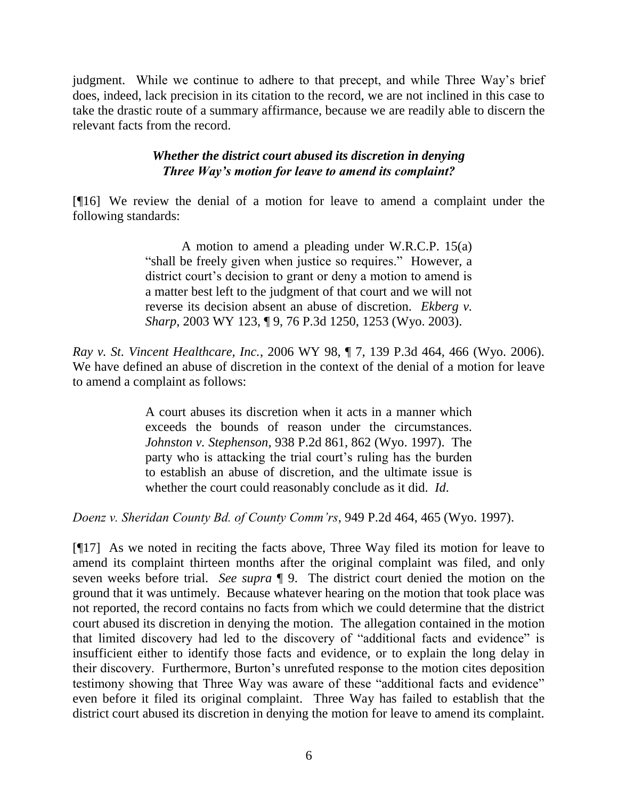judgment. While we continue to adhere to that precept, and while Three Way"s brief does, indeed, lack precision in its citation to the record, we are not inclined in this case to take the drastic route of a summary affirmance, because we are readily able to discern the relevant facts from the record.

### *Whether the district court abused its discretion in denying Three Way's motion for leave to amend its complaint?*

[¶16] We review the denial of a motion for leave to amend a complaint under the following standards:

> A motion to amend a pleading under W.R.C.P. 15(a) "shall be freely given when justice so requires." However, a district court's decision to grant or deny a motion to amend is a matter best left to the judgment of that court and we will not reverse its decision absent an abuse of discretion. *Ekberg v. Sharp*, 2003 WY 123, ¶ 9, 76 P.3d 1250, 1253 (Wyo. 2003).

*Ray v. St. Vincent Healthcare, Inc.*, 2006 WY 98, ¶ 7, 139 P.3d 464, 466 (Wyo. 2006). We have defined an abuse of discretion in the context of the denial of a motion for leave to amend a complaint as follows:

> A court abuses its discretion when it acts in a manner which exceeds the bounds of reason under the circumstances. *Johnston v. Stephenson*, 938 P.2d 861, 862 (Wyo. 1997). The party who is attacking the trial court"s ruling has the burden to establish an abuse of discretion, and the ultimate issue is whether the court could reasonably conclude as it did. *Id*.

*Doenz v. Sheridan County Bd. of County Comm'rs*, 949 P.2d 464, 465 (Wyo. 1997).

[¶17] As we noted in reciting the facts above, Three Way filed its motion for leave to amend its complaint thirteen months after the original complaint was filed, and only seven weeks before trial. *See supra* ¶ 9. The district court denied the motion on the ground that it was untimely. Because whatever hearing on the motion that took place was not reported, the record contains no facts from which we could determine that the district court abused its discretion in denying the motion. The allegation contained in the motion that limited discovery had led to the discovery of "additional facts and evidence" is insufficient either to identify those facts and evidence, or to explain the long delay in their discovery. Furthermore, Burton"s unrefuted response to the motion cites deposition testimony showing that Three Way was aware of these "additional facts and evidence" even before it filed its original complaint. Three Way has failed to establish that the district court abused its discretion in denying the motion for leave to amend its complaint.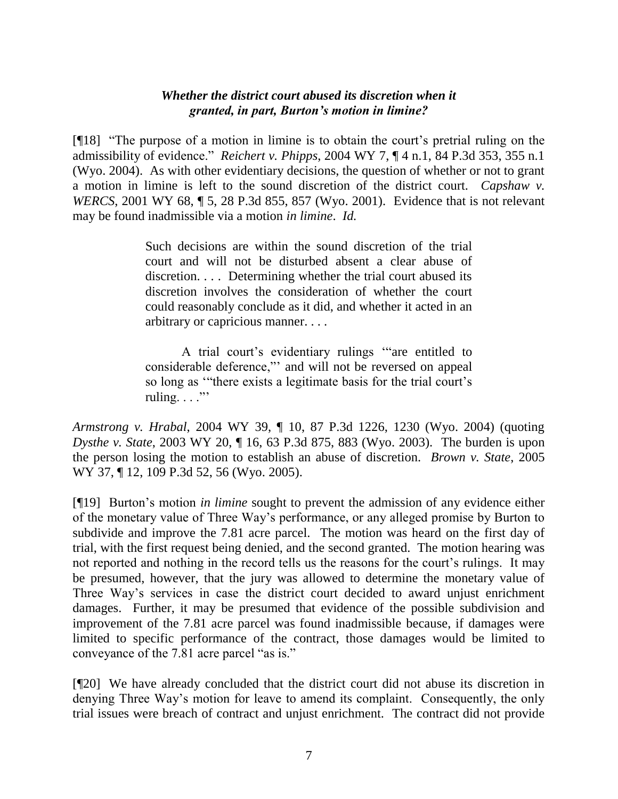#### *Whether the district court abused its discretion when it granted, in part, Burton's motion in limine?*

[¶18] "The purpose of a motion in limine is to obtain the court"s pretrial ruling on the admissibility of evidence." *Reichert v. Phipps*, 2004 WY 7, ¶ 4 n.1, 84 P.3d 353, 355 n.1 (Wyo. 2004). As with other evidentiary decisions, the question of whether or not to grant a motion in limine is left to the sound discretion of the district court. *Capshaw v. WERCS*, 2001 WY 68, ¶ 5, 28 P.3d 855, 857 (Wyo. 2001). Evidence that is not relevant may be found inadmissible via a motion *in limine*. *Id.*

> Such decisions are within the sound discretion of the trial court and will not be disturbed absent a clear abuse of discretion. . . . Determining whether the trial court abused its discretion involves the consideration of whether the court could reasonably conclude as it did, and whether it acted in an arbitrary or capricious manner. . . .

> A trial court"s evidentiary rulings ""are entitled to considerable deference,"" and will not be reversed on appeal so long as "there exists a legitimate basis for the trial court's ruling.  $\ldots$ "

*Armstrong v. Hrabal*, 2004 WY 39, ¶ 10, 87 P.3d 1226, 1230 (Wyo. 2004) (quoting *Dysthe v. State*, 2003 WY 20, ¶ 16, 63 P.3d 875, 883 (Wyo. 2003). The burden is upon the person losing the motion to establish an abuse of discretion. *Brown v. State*, 2005 WY 37, ¶ 12, 109 P.3d 52, 56 (Wyo. 2005).

[¶19] Burton"s motion *in limine* sought to prevent the admission of any evidence either of the monetary value of Three Way"s performance, or any alleged promise by Burton to subdivide and improve the 7.81 acre parcel. The motion was heard on the first day of trial, with the first request being denied, and the second granted. The motion hearing was not reported and nothing in the record tells us the reasons for the court's rulings. It may be presumed, however, that the jury was allowed to determine the monetary value of Three Way"s services in case the district court decided to award unjust enrichment damages. Further, it may be presumed that evidence of the possible subdivision and improvement of the 7.81 acre parcel was found inadmissible because, if damages were limited to specific performance of the contract, those damages would be limited to conveyance of the 7.81 acre parcel "as is."

[¶20] We have already concluded that the district court did not abuse its discretion in denying Three Way"s motion for leave to amend its complaint. Consequently, the only trial issues were breach of contract and unjust enrichment. The contract did not provide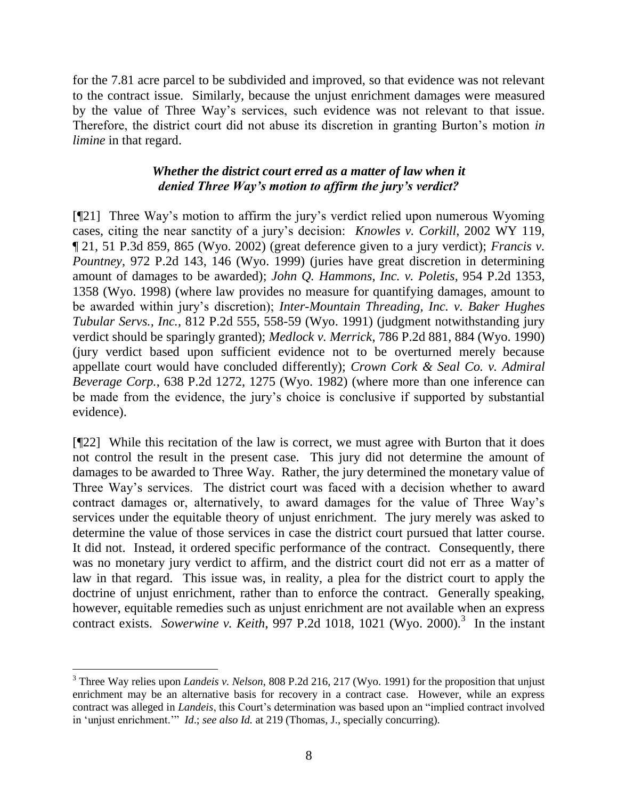for the 7.81 acre parcel to be subdivided and improved, so that evidence was not relevant to the contract issue. Similarly, because the unjust enrichment damages were measured by the value of Three Way"s services, such evidence was not relevant to that issue. Therefore, the district court did not abuse its discretion in granting Burton"s motion *in limine* in that regard.

# *Whether the district court erred as a matter of law when it denied Three Way's motion to affirm the jury's verdict?*

[¶21] Three Way"s motion to affirm the jury"s verdict relied upon numerous Wyoming cases, citing the near sanctity of a jury"s decision: *Knowles v. Corkill*, 2002 WY 119, ¶ 21, 51 P.3d 859, 865 (Wyo. 2002) (great deference given to a jury verdict); *Francis v. Pountney*, 972 P.2d 143, 146 (Wyo. 1999) (juries have great discretion in determining amount of damages to be awarded); *John Q. Hammons, Inc. v. Poletis*, 954 P.2d 1353, 1358 (Wyo. 1998) (where law provides no measure for quantifying damages, amount to be awarded within jury"s discretion); *Inter-Mountain Threading, Inc. v. Baker Hughes Tubular Servs., Inc.*, 812 P.2d 555, 558-59 (Wyo. 1991) (judgment notwithstanding jury verdict should be sparingly granted); *Medlock v. Merrick*, 786 P.2d 881, 884 (Wyo. 1990) (jury verdict based upon sufficient evidence not to be overturned merely because appellate court would have concluded differently); *Crown Cork & Seal Co. v. Admiral Beverage Corp.*, 638 P.2d 1272, 1275 (Wyo. 1982) (where more than one inference can be made from the evidence, the jury's choice is conclusive if supported by substantial evidence).

[¶22] While this recitation of the law is correct, we must agree with Burton that it does not control the result in the present case. This jury did not determine the amount of damages to be awarded to Three Way. Rather, the jury determined the monetary value of Three Way"s services. The district court was faced with a decision whether to award contract damages or, alternatively, to award damages for the value of Three Way"s services under the equitable theory of unjust enrichment. The jury merely was asked to determine the value of those services in case the district court pursued that latter course. It did not. Instead, it ordered specific performance of the contract. Consequently, there was no monetary jury verdict to affirm, and the district court did not err as a matter of law in that regard. This issue was, in reality, a plea for the district court to apply the doctrine of unjust enrichment, rather than to enforce the contract. Generally speaking, however, equitable remedies such as unjust enrichment are not available when an express contract exists. *Sowerwine v. Keith*, 997 P.2d 1018, 1021 (Wyo. 2000).<sup>3</sup> In the instant

 $\overline{a}$ 

<sup>3</sup> Three Way relies upon *Landeis v. Nelson*, 808 P.2d 216, 217 (Wyo. 1991) for the proposition that unjust enrichment may be an alternative basis for recovery in a contract case. However, while an express contract was alleged in *Landeis*, this Court"s determination was based upon an "implied contract involved in "unjust enrichment."" *Id*.; *see also Id.* at 219 (Thomas, J., specially concurring).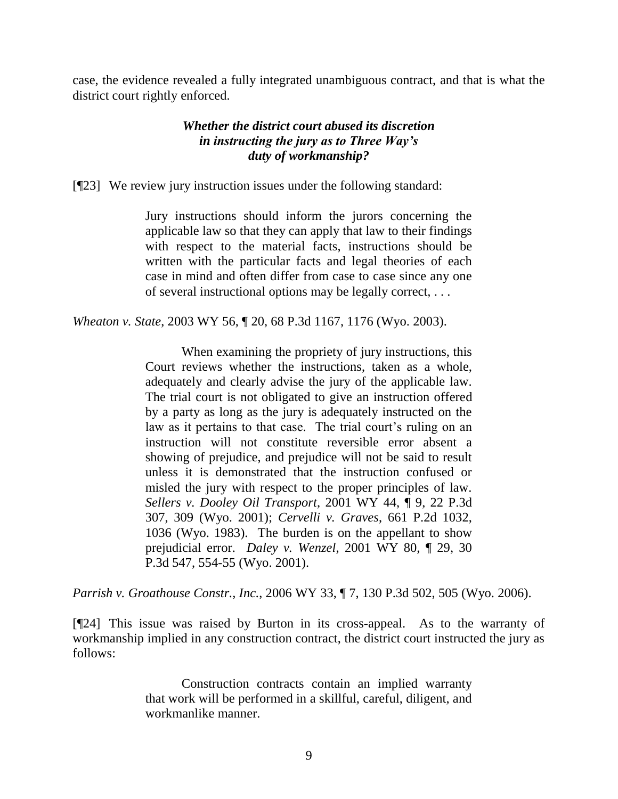case, the evidence revealed a fully integrated unambiguous contract, and that is what the district court rightly enforced.

### *Whether the district court abused its discretion in instructing the jury as to Three Way's duty of workmanship?*

[¶23] We review jury instruction issues under the following standard:

Jury instructions should inform the jurors concerning the applicable law so that they can apply that law to their findings with respect to the material facts, instructions should be written with the particular facts and legal theories of each case in mind and often differ from case to case since any one of several instructional options may be legally correct, . . .

*Wheaton v. State*, 2003 WY 56, ¶ 20, 68 P.3d 1167, 1176 (Wyo. 2003).

When examining the propriety of jury instructions, this Court reviews whether the instructions, taken as a whole, adequately and clearly advise the jury of the applicable law. The trial court is not obligated to give an instruction offered by a party as long as the jury is adequately instructed on the law as it pertains to that case. The trial court's ruling on an instruction will not constitute reversible error absent a showing of prejudice, and prejudice will not be said to result unless it is demonstrated that the instruction confused or misled the jury with respect to the proper principles of law. *Sellers v. Dooley Oil Transport*, 2001 WY 44, ¶ 9, 22 P.3d 307, 309 (Wyo. 2001); *Cervelli v. Graves*, 661 P.2d 1032, 1036 (Wyo. 1983). The burden is on the appellant to show prejudicial error. *Daley v. Wenzel*, 2001 WY 80, ¶ 29, 30 P.3d 547, 554-55 (Wyo. 2001).

*Parrish v. Groathouse Constr., Inc.*, 2006 WY 33, ¶ 7, 130 P.3d 502, 505 (Wyo. 2006).

[¶24] This issue was raised by Burton in its cross-appeal. As to the warranty of workmanship implied in any construction contract, the district court instructed the jury as follows:

> Construction contracts contain an implied warranty that work will be performed in a skillful, careful, diligent, and workmanlike manner.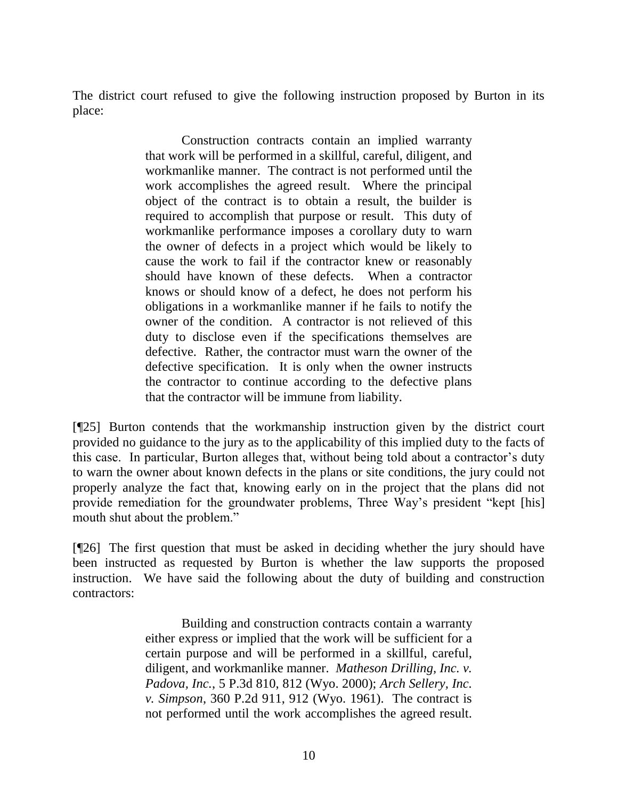The district court refused to give the following instruction proposed by Burton in its place:

> Construction contracts contain an implied warranty that work will be performed in a skillful, careful, diligent, and workmanlike manner. The contract is not performed until the work accomplishes the agreed result. Where the principal object of the contract is to obtain a result, the builder is required to accomplish that purpose or result. This duty of workmanlike performance imposes a corollary duty to warn the owner of defects in a project which would be likely to cause the work to fail if the contractor knew or reasonably should have known of these defects. When a contractor knows or should know of a defect, he does not perform his obligations in a workmanlike manner if he fails to notify the owner of the condition. A contractor is not relieved of this duty to disclose even if the specifications themselves are defective. Rather, the contractor must warn the owner of the defective specification. It is only when the owner instructs the contractor to continue according to the defective plans that the contractor will be immune from liability.

[¶25] Burton contends that the workmanship instruction given by the district court provided no guidance to the jury as to the applicability of this implied duty to the facts of this case. In particular, Burton alleges that, without being told about a contractor's duty to warn the owner about known defects in the plans or site conditions, the jury could not properly analyze the fact that, knowing early on in the project that the plans did not provide remediation for the groundwater problems, Three Way"s president "kept [his] mouth shut about the problem."

[¶26] The first question that must be asked in deciding whether the jury should have been instructed as requested by Burton is whether the law supports the proposed instruction. We have said the following about the duty of building and construction contractors:

> Building and construction contracts contain a warranty either express or implied that the work will be sufficient for a certain purpose and will be performed in a skillful, careful, diligent, and workmanlike manner. *Matheson Drilling, Inc. v. Padova, Inc.*, 5 P.3d 810, 812 (Wyo. 2000); *Arch Sellery, Inc. v. Simpson*, 360 P.2d 911, 912 (Wyo. 1961). The contract is not performed until the work accomplishes the agreed result.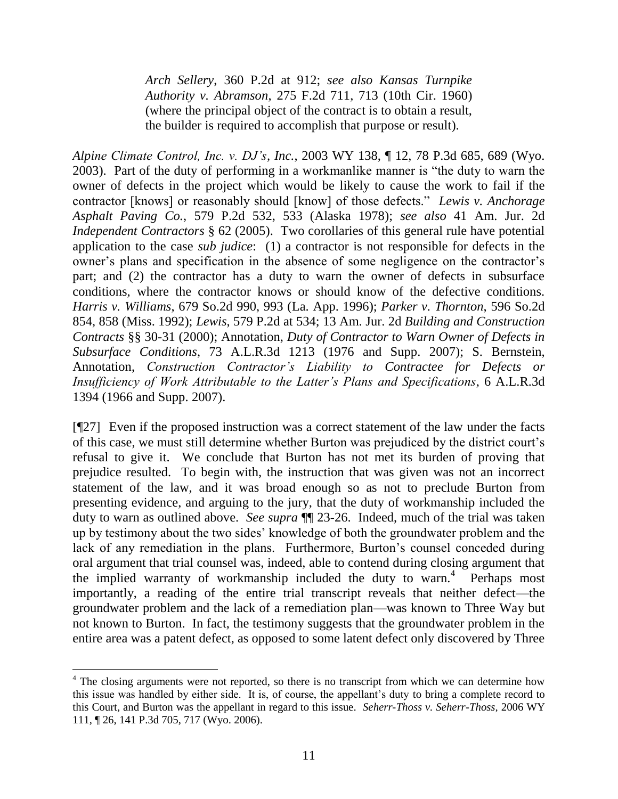*Arch Sellery*, 360 P.2d at 912; *see also Kansas Turnpike Authority v. Abramson*, 275 F.2d 711, 713 (10th Cir. 1960) (where the principal object of the contract is to obtain a result, the builder is required to accomplish that purpose or result).

*Alpine Climate Control, Inc. v. DJ's, Inc.*, 2003 WY 138, ¶ 12, 78 P.3d 685, 689 (Wyo. 2003). Part of the duty of performing in a workmanlike manner is "the duty to warn the owner of defects in the project which would be likely to cause the work to fail if the contractor [knows] or reasonably should [know] of those defects." *Lewis v. Anchorage Asphalt Paving Co.*, 579 P.2d 532, 533 (Alaska 1978); *see also* 41 Am. Jur. 2d *Independent Contractors* § 62 (2005). Two corollaries of this general rule have potential application to the case *sub judice*: (1) a contractor is not responsible for defects in the owner's plans and specification in the absence of some negligence on the contractor's part; and (2) the contractor has a duty to warn the owner of defects in subsurface conditions, where the contractor knows or should know of the defective conditions. *Harris v. Williams*, 679 So.2d 990, 993 (La. App. 1996); *Parker v. Thornton*, 596 So.2d 854, 858 (Miss. 1992); *Lewis*, 579 P.2d at 534; 13 Am. Jur. 2d *Building and Construction Contracts* §§ 30-31 (2000); Annotation, *Duty of Contractor to Warn Owner of Defects in Subsurface Conditions*, 73 A.L.R.3d 1213 (1976 and Supp. 2007); S. Bernstein, Annotation, *Construction Contractor's Liability to Contractee for Defects or Insufficiency of Work Attributable to the Latter's Plans and Specifications*, 6 A.L.R.3d 1394 (1966 and Supp. 2007).

[¶27] Even if the proposed instruction was a correct statement of the law under the facts of this case, we must still determine whether Burton was prejudiced by the district court"s refusal to give it. We conclude that Burton has not met its burden of proving that prejudice resulted. To begin with, the instruction that was given was not an incorrect statement of the law, and it was broad enough so as not to preclude Burton from presenting evidence, and arguing to the jury, that the duty of workmanship included the duty to warn as outlined above. *See supra*  $\P$  23-26. Indeed, much of the trial was taken up by testimony about the two sides" knowledge of both the groundwater problem and the lack of any remediation in the plans. Furthermore, Burton's counsel conceded during oral argument that trial counsel was, indeed, able to contend during closing argument that the implied warranty of workmanship included the duty to warn.<sup>4</sup> Perhaps most importantly, a reading of the entire trial transcript reveals that neither defect—the groundwater problem and the lack of a remediation plan—was known to Three Way but not known to Burton. In fact, the testimony suggests that the groundwater problem in the entire area was a patent defect, as opposed to some latent defect only discovered by Three

 $\overline{a}$ 

<sup>&</sup>lt;sup>4</sup> The closing arguments were not reported, so there is no transcript from which we can determine how this issue was handled by either side. It is, of course, the appellant"s duty to bring a complete record to this Court, and Burton was the appellant in regard to this issue. *Seherr-Thoss v. Seherr-Thoss,* 2006 WY 111, ¶ 26, 141 P.3d 705, 717 (Wyo. 2006).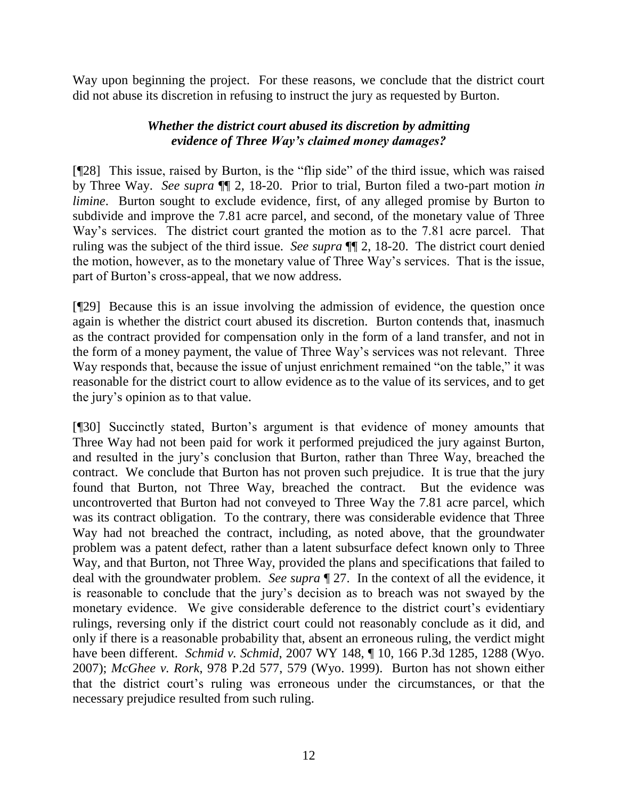Way upon beginning the project. For these reasons, we conclude that the district court did not abuse its discretion in refusing to instruct the jury as requested by Burton.

# *Whether the district court abused its discretion by admitting evidence of Three Way's claimed money damages?*

[¶28] This issue, raised by Burton, is the "flip side" of the third issue, which was raised by Three Way. *See supra* ¶¶ 2, 18-20. Prior to trial, Burton filed a two-part motion *in limine*. Burton sought to exclude evidence, first, of any alleged promise by Burton to subdivide and improve the 7.81 acre parcel, and second, of the monetary value of Three Way"s services. The district court granted the motion as to the 7.81 acre parcel. That ruling was the subject of the third issue. *See supra* ¶¶ 2, 18-20. The district court denied the motion, however, as to the monetary value of Three Way"s services. That is the issue, part of Burton"s cross-appeal, that we now address.

[¶29] Because this is an issue involving the admission of evidence, the question once again is whether the district court abused its discretion. Burton contends that, inasmuch as the contract provided for compensation only in the form of a land transfer, and not in the form of a money payment, the value of Three Way"s services was not relevant. Three Way responds that, because the issue of unjust enrichment remained "on the table," it was reasonable for the district court to allow evidence as to the value of its services, and to get the jury"s opinion as to that value.

[¶30] Succinctly stated, Burton"s argument is that evidence of money amounts that Three Way had not been paid for work it performed prejudiced the jury against Burton, and resulted in the jury"s conclusion that Burton, rather than Three Way, breached the contract. We conclude that Burton has not proven such prejudice. It is true that the jury found that Burton, not Three Way, breached the contract. But the evidence was uncontroverted that Burton had not conveyed to Three Way the 7.81 acre parcel, which was its contract obligation. To the contrary, there was considerable evidence that Three Way had not breached the contract, including, as noted above, that the groundwater problem was a patent defect, rather than a latent subsurface defect known only to Three Way, and that Burton, not Three Way, provided the plans and specifications that failed to deal with the groundwater problem. *See supra* ¶ 27. In the context of all the evidence, it is reasonable to conclude that the jury"s decision as to breach was not swayed by the monetary evidence. We give considerable deference to the district court's evidentiary rulings, reversing only if the district court could not reasonably conclude as it did, and only if there is a reasonable probability that, absent an erroneous ruling, the verdict might have been different. *Schmid v. Schmid*, 2007 WY 148, ¶ 10, 166 P.3d 1285, 1288 (Wyo. 2007); *McGhee v. Rork*, 978 P.2d 577, 579 (Wyo. 1999). Burton has not shown either that the district court"s ruling was erroneous under the circumstances, or that the necessary prejudice resulted from such ruling.